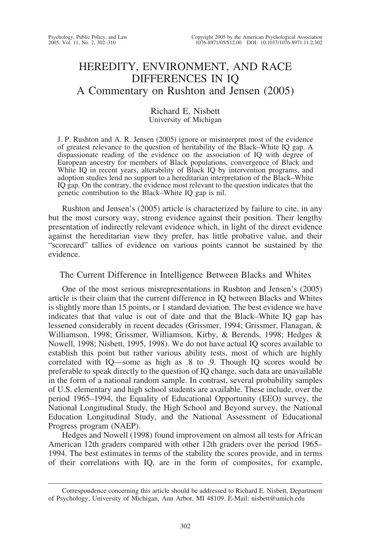# HEREDITY, ENVIRONMENT, AND RACE DIFFERENCES IN IQ A Commentary on Rushton and Jensen (2005)

#### Richard E. Nisbett University of Michigan

J. P. Rushton and A. R. Jensen (2005) ignore or misinterpret most of the evidence of greatest relevance to the question of heritability of the Black–White IQ gap. A dispassionate reading of the evidence on the association of IQ with degree of European ancestry for members of Black populations, convergence of Black and White IQ in recent years, alterability of Black IQ by intervention programs, and adoption studies lend no support to a hereditarian interpretation of the Black–White IQ gap. On the contrary, the evidence most relevant to the question indicates that the genetic contribution to the Black–White IQ gap is nil.

Rushton and Jensen's (2005) article is characterized by failure to cite, in any but the most cursory way, strong evidence against their position. Their lengthy presentation of indirectly relevant evidence which, in light of the direct evidence against the hereditarian view they prefer, has little probative value, and their "scorecard" tallies of evidence on various points cannot be sustained by the evidence.

# The Current Difference in Intelligence Between Blacks and Whites

One of the most serious misrepresentations in Rushton and Jensen's (2005) article is their claim that the current difference in IQ between Blacks and Whites is slightly more than 15 points, or 1 standard deviation. The best evidence we have indicates that that value is out of date and that the Black–White IQ gap has lessened considerably in recent decades (Grissmer, 1994; Grissmer, Flanagan, & Williamson, 1998; Grissmer, Williamson, Kirby, & Berends, 1998; Hedges & Nowell, 1998; Nisbett, 1995, 1998). We do not have actual IQ scores available to establish this point but rather various ability tests, most of which are highly correlated with IQ—some as high as .8 to .9. Though IQ scores would be preferable to speak directly to the question of IQ change, such data are unavailable in the form of a national random sample. In contrast, several probability samples of U.S. elementary and high school students are available. These include, over the period 1965–1994, the Equality of Educational Opportunity (EEO) survey, the National Longitudinal Study, the High School and Beyond survey, the National Education Longitudinal Study, and the National Assessment of Educational Progress program (NAEP).

Hedges and Nowell (1998) found improvement on almost all tests for African American 12th graders compared with other 12th graders over the period 1965– 1994. The best estimates in terms of the stability the scores provide, and in terms of their correlations with IQ, are in the form of composites, for example,

Correspondence concerning this article should be addressed to Richard E. Nisbett, Department of Psychology, University of Michigan, Ann Arbor, MI 48109. E-Mail: nisbett@umich.edu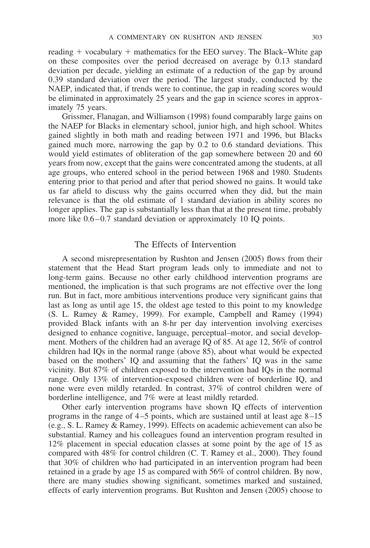reading  $+$  vocabulary  $+$  mathematics for the EEO survey. The Black–White gap on these composites over the period decreased on average by 0.13 standard deviation per decade, yielding an estimate of a reduction of the gap by around 0.39 standard deviation over the period. The largest study, conducted by the NAEP, indicated that, if trends were to continue, the gap in reading scores would be eliminated in approximately 25 years and the gap in science scores in approximately 75 years.

Grissmer, Flanagan, and Williamson (1998) found comparably large gains on the NAEP for Blacks in elementary school, junior high, and high school. Whites gained slightly in both math and reading between 1971 and 1996, but Blacks gained much more, narrowing the gap by 0.2 to 0.6 standard deviations. This would yield estimates of obliteration of the gap somewhere between 20 and 60 years from now, except that the gains were concentrated among the students, at all age groups, who entered school in the period between 1968 and 1980. Students entering prior to that period and after that period showed no gains. It would take us far afield to discuss why the gains occurred when they did, but the main relevance is that the old estimate of 1 standard deviation in ability scores no longer applies. The gap is substantially less than that at the present time, probably more like  $0.6-0.7$  standard deviation or approximately 10 IQ points.

# The Effects of Intervention

A second misrepresentation by Rushton and Jensen (2005) flows from their statement that the Head Start program leads only to immediate and not to long-term gains. Because no other early childhood intervention programs are mentioned, the implication is that such programs are not effective over the long run. But in fact, more ambitious interventions produce very significant gains that last as long as until age 15, the oldest age tested to this point to my knowledge (S. L. Ramey & Ramey, 1999). For example, Campbell and Ramey (1994) provided Black infants with an 8-hr per day intervention involving exercises designed to enhance cognitive, language, perceptual–motor, and social development. Mothers of the children had an average IQ of 85. At age 12, 56% of control children had IQs in the normal range (above 85), about what would be expected based on the mothers' IQ and assuming that the fathers' IQ was in the same vicinity. But 87% of children exposed to the intervention had IQs in the normal range. Only 13% of intervention-exposed children were of borderline IQ, and none were even mildly retarded. In contrast, 37% of control children were of borderline intelligence, and 7% were at least mildly retarded.

Other early intervention programs have shown IQ effects of intervention programs in the range of  $4-5$  points, which are sustained until at least age  $8-15$ (e.g., S. L. Ramey & Ramey, 1999). Effects on academic achievement can also be substantial. Ramey and his colleagues found an intervention program resulted in 12% placement in special education classes at some point by the age of 15 as compared with 48% for control children (C. T. Ramey et al., 2000). They found that 30% of children who had participated in an intervention program had been retained in a grade by age 15 as compared with 56% of control children. By now, there are many studies showing significant, sometimes marked and sustained, effects of early intervention programs. But Rushton and Jensen (2005) choose to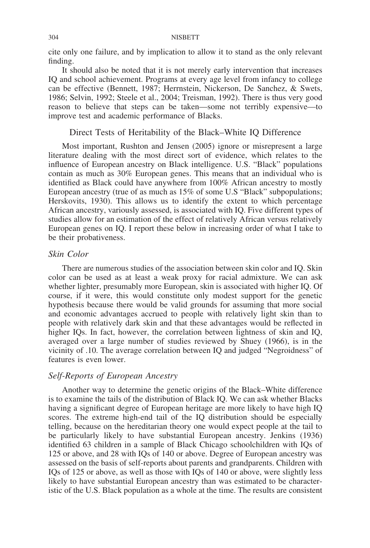#### 304 NISBETT

cite only one failure, and by implication to allow it to stand as the only relevant finding.

It should also be noted that it is not merely early intervention that increases IQ and school achievement. Programs at every age level from infancy to college can be effective (Bennett, 1987; Herrnstein, Nickerson, De Sanchez, & Swets, 1986; Selvin, 1992; Steele et al., 2004; Treisman, 1992). There is thus very good reason to believe that steps can be taken—some not terribly expensive—to improve test and academic performance of Blacks.

## Direct Tests of Heritability of the Black–White IQ Difference

Most important, Rushton and Jensen (2005) ignore or misrepresent a large literature dealing with the most direct sort of evidence, which relates to the influence of European ancestry on Black intelligence. U.S. "Black" populations contain as much as 30% European genes. This means that an individual who is identified as Black could have anywhere from 100% African ancestry to mostly European ancestry (true of as much as 15% of some U.S "Black" subpopulations; Herskovits, 1930). This allows us to identify the extent to which percentage African ancestry, variously assessed, is associated with IQ. Five different types of studies allow for an estimation of the effect of relatively African versus relatively European genes on IQ. I report these below in increasing order of what I take to be their probativeness.

### *Skin Color*

There are numerous studies of the association between skin color and IQ. Skin color can be used as at least a weak proxy for racial admixture. We can ask whether lighter, presumably more European, skin is associated with higher IQ. Of course, if it were, this would constitute only modest support for the genetic hypothesis because there would be valid grounds for assuming that more social and economic advantages accrued to people with relatively light skin than to people with relatively dark skin and that these advantages would be reflected in higher IQs. In fact, however, the correlation between lightness of skin and IQ, averaged over a large number of studies reviewed by Shuey (1966), is in the vicinity of .10. The average correlation between IQ and judged "Negroidness" of features is even lower.

# *Self-Reports of European Ancestry*

Another way to determine the genetic origins of the Black–White difference is to examine the tails of the distribution of Black IQ. We can ask whether Blacks having a significant degree of European heritage are more likely to have high IQ scores. The extreme high-end tail of the IQ distribution should be especially telling, because on the hereditarian theory one would expect people at the tail to be particularly likely to have substantial European ancestry. Jenkins (1936) identified 63 children in a sample of Black Chicago schoolchildren with IQs of 125 or above, and 28 with IQs of 140 or above. Degree of European ancestry was assessed on the basis of self-reports about parents and grandparents. Children with IQs of 125 or above, as well as those with IQs of 140 or above, were slightly less likely to have substantial European ancestry than was estimated to be characteristic of the U.S. Black population as a whole at the time. The results are consistent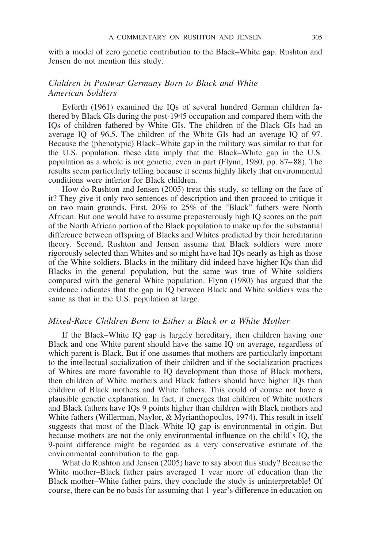with a model of zero genetic contribution to the Black–White gap. Rushton and Jensen do not mention this study.

# *Children in Postwar Germany Born to Black and White American Soldiers*

Eyferth (1961) examined the IQs of several hundred German children fathered by Black GIs during the post-1945 occupation and compared them with the IQs of children fathered by White GIs. The children of the Black GIs had an average IQ of 96.5. The children of the White GIs had an average IQ of 97. Because the (phenotypic) Black–White gap in the military was similar to that for the U.S. population, these data imply that the Black–White gap in the U.S. population as a whole is not genetic, even in part (Flynn, 1980, pp. 87–88). The results seem particularly telling because it seems highly likely that environmental conditions were inferior for Black children.

How do Rushton and Jensen (2005) treat this study, so telling on the face of it? They give it only two sentences of description and then proceed to critique it on two main grounds. First, 20% to 25% of the "Black" fathers were North African. But one would have to assume preposterously high IQ scores on the part of the North African portion of the Black population to make up for the substantial difference between offspring of Blacks and Whites predicted by their hereditarian theory. Second, Rushton and Jensen assume that Black soldiers were more rigorously selected than Whites and so might have had IQs nearly as high as those of the White soldiers. Blacks in the military did indeed have higher IQs than did Blacks in the general population, but the same was true of White soldiers compared with the general White population. Flynn (1980) has argued that the evidence indicates that the gap in IQ between Black and White soldiers was the same as that in the U.S. population at large.

# *Mixed-Race Children Born to Either a Black or a White Mother*

If the Black–White IQ gap is largely hereditary, then children having one Black and one White parent should have the same IQ on average, regardless of which parent is Black. But if one assumes that mothers are particularly important to the intellectual socialization of their children and if the socialization practices of Whites are more favorable to IQ development than those of Black mothers, then children of White mothers and Black fathers should have higher IQs than children of Black mothers and White fathers. This could of course not have a plausible genetic explanation. In fact, it emerges that children of White mothers and Black fathers have IQs 9 points higher than children with Black mothers and White fathers (Willerman, Naylor, & Myrianthopoulos, 1974). This result in itself suggests that most of the Black–White IQ gap is environmental in origin. But because mothers are not the only environmental influence on the child's IQ, the 9-point difference might be regarded as a very conservative estimate of the environmental contribution to the gap.

What do Rushton and Jensen (2005) have to say about this study? Because the White mother–Black father pairs averaged 1 year more of education than the Black mother–White father pairs, they conclude the study is uninterpretable! Of course, there can be no basis for assuming that 1-year's difference in education on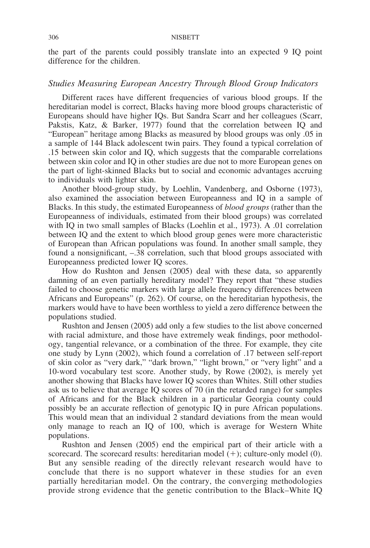the part of the parents could possibly translate into an expected 9 IQ point difference for the children.

# *Studies Measuring European Ancestry Through Blood Group Indicators*

Different races have different frequencies of various blood groups. If the hereditarian model is correct, Blacks having more blood groups characteristic of Europeans should have higher IQs. But Sandra Scarr and her colleagues (Scarr, Pakstis, Katz, & Barker, 1977) found that the correlation between IQ and "European" heritage among Blacks as measured by blood groups was only .05 in a sample of 144 Black adolescent twin pairs. They found a typical correlation of .15 between skin color and IQ, which suggests that the comparable correlations between skin color and IQ in other studies are due not to more European genes on the part of light-skinned Blacks but to social and economic advantages accruing to individuals with lighter skin.

Another blood-group study, by Loehlin, Vandenberg, and Osborne (1973), also examined the association between Europeanness and IQ in a sample of Blacks. In this study, the estimated Europeanness of *blood groups* (rather than the Europeanness of individuals, estimated from their blood groups) was correlated with IQ in two small samples of Blacks (Loehlin et al., 1973). A .01 correlation between IQ and the extent to which blood group genes were more characteristic of European than African populations was found. In another small sample, they found a nonsignificant, –.38 correlation, such that blood groups associated with Europeanness predicted lower IQ scores.

How do Rushton and Jensen (2005) deal with these data, so apparently damning of an even partially hereditary model? They report that "these studies failed to choose genetic markers with large allele frequency differences between Africans and Europeans" (p. 262). Of course, on the hereditarian hypothesis, the markers would have to have been worthless to yield a zero difference between the populations studied.

Rushton and Jensen (2005) add only a few studies to the list above concerned with racial admixture, and those have extremely weak findings, poor methodology, tangential relevance, or a combination of the three. For example, they cite one study by Lynn (2002), which found a correlation of .17 between self-report of skin color as "very dark," "dark brown," "light brown," or "very light" and a 10-word vocabulary test score. Another study, by Rowe (2002), is merely yet another showing that Blacks have lower IQ scores than Whites. Still other studies ask us to believe that average IQ scores of 70 (in the retarded range) for samples of Africans and for the Black children in a particular Georgia county could possibly be an accurate reflection of genotypic IQ in pure African populations. This would mean that an individual 2 standard deviations from the mean would only manage to reach an IQ of 100, which is average for Western White populations.

Rushton and Jensen (2005) end the empirical part of their article with a scorecard. The scorecard results: hereditarian model  $(+)$ ; culture-only model  $(0)$ . But any sensible reading of the directly relevant research would have to conclude that there is no support whatever in these studies for an even partially hereditarian model. On the contrary, the converging methodologies provide strong evidence that the genetic contribution to the Black–White IQ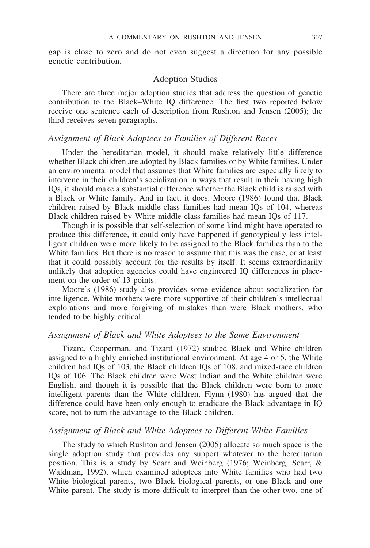gap is close to zero and do not even suggest a direction for any possible genetic contribution.

#### Adoption Studies

There are three major adoption studies that address the question of genetic contribution to the Black–White IQ difference. The first two reported below receive one sentence each of description from Rushton and Jensen (2005); the third receives seven paragraphs.

#### *Assignment of Black Adoptees to Families of Different Races*

Under the hereditarian model, it should make relatively little difference whether Black children are adopted by Black families or by White families. Under an environmental model that assumes that White families are especially likely to intervene in their children's socialization in ways that result in their having high IQs, it should make a substantial difference whether the Black child is raised with a Black or White family. And in fact, it does. Moore (1986) found that Black children raised by Black middle-class families had mean IQs of 104, whereas Black children raised by White middle-class families had mean IQs of 117.

Though it is possible that self-selection of some kind might have operated to produce this difference, it could only have happened if genotypically less intelligent children were more likely to be assigned to the Black families than to the White families. But there is no reason to assume that this was the case, or at least that it could possibly account for the results by itself. It seems extraordinarily unlikely that adoption agencies could have engineered IQ differences in placement on the order of 13 points.

Moore's (1986) study also provides some evidence about socialization for intelligence. White mothers were more supportive of their children's intellectual explorations and more forgiving of mistakes than were Black mothers, who tended to be highly critical.

### *Assignment of Black and White Adoptees to the Same Environment*

Tizard, Cooperman, and Tizard (1972) studied Black and White children assigned to a highly enriched institutional environment. At age 4 or 5, the White children had IQs of 103, the Black children IQs of 108, and mixed-race children IQs of 106. The Black children were West Indian and the White children were English, and though it is possible that the Black children were born to more intelligent parents than the White children, Flynn (1980) has argued that the difference could have been only enough to eradicate the Black advantage in IQ score, not to turn the advantage to the Black children.

#### *Assignment of Black and White Adoptees to Different White Families*

The study to which Rushton and Jensen (2005) allocate so much space is the single adoption study that provides any support whatever to the hereditarian position. This is a study by Scarr and Weinberg (1976; Weinberg, Scarr, & Waldman, 1992), which examined adoptees into White families who had two White biological parents, two Black biological parents, or one Black and one White parent. The study is more difficult to interpret than the other two, one of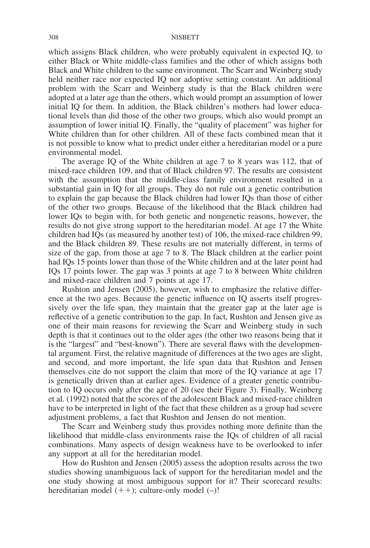#### 308 NISBETT

which assigns Black children, who were probably equivalent in expected IQ, to either Black or White middle-class families and the other of which assigns both Black and White children to the same environment. The Scarr and Weinberg study held neither race nor expected IQ nor adoptive setting constant. An additional problem with the Scarr and Weinberg study is that the Black children were adopted at a later age than the others, which would prompt an assumption of lower initial IQ for them. In addition, the Black children's mothers had lower educational levels than did those of the other two groups, which also would prompt an assumption of lower initial IQ. Finally, the "quality of placement" was higher for White children than for other children. All of these facts combined mean that it is not possible to know what to predict under either a hereditarian model or a pure environmental model.

The average IQ of the White children at age 7 to 8 years was 112, that of mixed-race children 109, and that of Black children 97. The results are consistent with the assumption that the middle-class family environment resulted in a substantial gain in IQ for all groups. They do not rule out a genetic contribution to explain the gap because the Black children had lower IQs than those of either of the other two groups. Because of the likelihood that the Black children had lower IQs to begin with, for both genetic and nongenetic reasons, however, the results do not give strong support to the hereditarian model. At age 17 the White children had IQs (as measured by another test) of 106, the mixed-race children 99, and the Black children 89. These results are not materially different, in terms of size of the gap, from those at age 7 to 8. The Black children at the earlier point had IQs 15 points lower than those of the White children and at the later point had IQs 17 points lower. The gap was 3 points at age 7 to 8 between White children and mixed-race children and 7 points at age 17.

Rushton and Jensen (2005), however, wish to emphasize the relative difference at the two ages. Because the genetic influence on IQ asserts itself progressively over the life span, they maintain that the greater gap at the later age is reflective of a genetic contribution to the gap. In fact, Rushton and Jensen give as one of their main reasons for reviewing the Scarr and Weinberg study in such depth is that it continues out to the older ages (the other two reasons being that it is the "largest" and "best-known"). There are several flaws with the developmental argument. First, the relative magnitude of differences at the two ages are slight, and second, and more important, the life span data that Rushton and Jensen themselves cite do not support the claim that more of the IQ variance at age 17 is genetically driven than at earlier ages. Evidence of a greater genetic contribution to IQ occurs only after the age of 20 (see their Figure 3). Finally, Weinberg et al. (1992) noted that the scores of the adolescent Black and mixed-race children have to be interpreted in light of the fact that these children as a group had severe adjustment problems, a fact that Rushton and Jensen do not mention.

The Scarr and Weinberg study thus provides nothing more definite than the likelihood that middle-class environments raise the IQs of children of all racial combinations. Many aspects of design weakness have to be overlooked to infer any support at all for the hereditarian model.

How do Rushton and Jensen (2005) assess the adoption results across the two studies showing unambiguous lack of support for the hereditarian model and the one study showing at most ambiguous support for it? Their scorecard results: hereditarian model  $(++)$ ; culture-only model  $(-)!$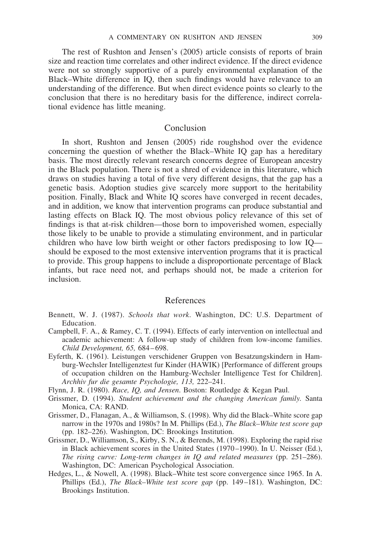The rest of Rushton and Jensen's (2005) article consists of reports of brain size and reaction time correlates and other indirect evidence. If the direct evidence were not so strongly supportive of a purely environmental explanation of the Black–White difference in IQ, then such findings would have relevance to an understanding of the difference. But when direct evidence points so clearly to the conclusion that there is no hereditary basis for the difference, indirect correlational evidence has little meaning.

#### Conclusion

In short, Rushton and Jensen (2005) ride roughshod over the evidence concerning the question of whether the Black–White IQ gap has a hereditary basis. The most directly relevant research concerns degree of European ancestry in the Black population. There is not a shred of evidence in this literature, which draws on studies having a total of five very different designs, that the gap has a genetic basis. Adoption studies give scarcely more support to the heritability position. Finally, Black and White IQ scores have converged in recent decades, and in addition, we know that intervention programs can produce substantial and lasting effects on Black IQ. The most obvious policy relevance of this set of findings is that at-risk children—those born to impoverished women, especially those likely to be unable to provide a stimulating environment, and in particular children who have low birth weight or other factors predisposing to low IQ should be exposed to the most extensive intervention programs that it is practical to provide. This group happens to include a disproportionate percentage of Black infants, but race need not, and perhaps should not, be made a criterion for inclusion.

# References

- Bennett, W. J. (1987). *Schools that work*. Washington, DC: U.S. Department of Education.
- Campbell, F. A., & Ramey, C. T. (1994). Effects of early intervention on intellectual and academic achievement: A follow-up study of children from low-income families. *Child Development, 65,* 684–698.
- Eyferth, K. (1961). Leistungen verschidener Gruppen von Besatzungskindern in Hamburg-Wechsler Intelligenztest fur Kinder (HAWIK) [Performance of different groups of occupation children on the Hamburg-Wechsler Intelligence Test for Children]. *Archhiv fur die gesamte Psychologie, 113,* 222–241.
- Flynn, J. R. (1980). *Race, IQ, and Jensen*. Boston: Routledge & Kegan Paul.
- Grissmer, D. (1994). *Student achievement and the changing American family.* Santa Monica, CA: RAND.
- Grissmer, D., Flanagan, A., & Williamson, S. (1998). Why did the Black–White score gap narrow in the 1970s and 1980s? In M. Phillips (Ed.), *The Black–White test score gap* (pp. 182–226). Washington, DC: Brookings Institution.
- Grissmer, D., Williamson, S., Kirby, S. N., & Berends, M. (1998). Exploring the rapid rise in Black achievement scores in the United States (1970–1990). In U. Neisser (Ed.), *The rising curve: Long-term changes in IQ and related measures* (pp. 251–286). Washington, DC: American Psychological Association.
- Hedges, L., & Nowell, A. (1998). Black–White test score convergence since 1965. In A. Phillips (Ed.), *The Black–White test score gap* (pp. 149–181). Washington, DC: Brookings Institution.